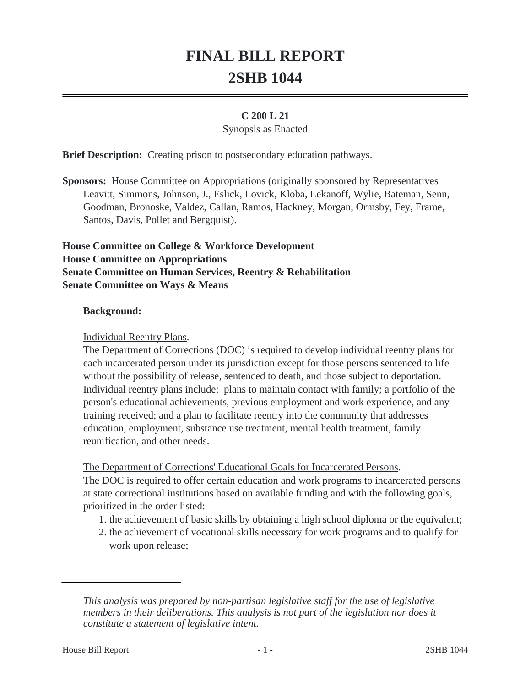# **FINAL BILL REPORT 2SHB 1044**

#### **C 200 L 21**

#### Synopsis as Enacted

**Brief Description:** Creating prison to postsecondary education pathways.

**Sponsors:** House Committee on Appropriations (originally sponsored by Representatives Leavitt, Simmons, Johnson, J., Eslick, Lovick, Kloba, Lekanoff, Wylie, Bateman, Senn, Goodman, Bronoske, Valdez, Callan, Ramos, Hackney, Morgan, Ormsby, Fey, Frame, Santos, Davis, Pollet and Bergquist).

**House Committee on College & Workforce Development House Committee on Appropriations Senate Committee on Human Services, Reentry & Rehabilitation Senate Committee on Ways & Means**

#### **Background:**

#### Individual Reentry Plans.

The Department of Corrections (DOC) is required to develop individual reentry plans for each incarcerated person under its jurisdiction except for those persons sentenced to life without the possibility of release, sentenced to death, and those subject to deportation. Individual reentry plans include: plans to maintain contact with family; a portfolio of the person's educational achievements, previous employment and work experience, and any training received; and a plan to facilitate reentry into the community that addresses education, employment, substance use treatment, mental health treatment, family reunification, and other needs.

#### The Department of Corrections' Educational Goals for Incarcerated Persons.

The DOC is required to offer certain education and work programs to incarcerated persons at state correctional institutions based on available funding and with the following goals, prioritized in the order listed:

- 1. the achievement of basic skills by obtaining a high school diploma or the equivalent;
- 2. the achievement of vocational skills necessary for work programs and to qualify for work upon release;

*This analysis was prepared by non-partisan legislative staff for the use of legislative members in their deliberations. This analysis is not part of the legislation nor does it constitute a statement of legislative intent.*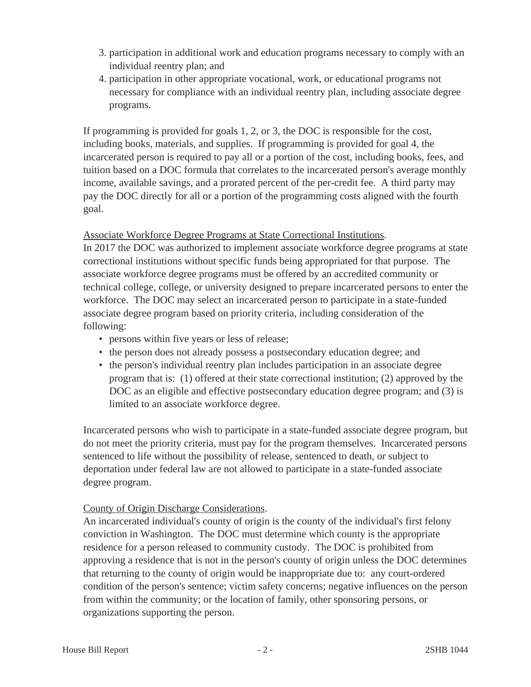- 3. participation in additional work and education programs necessary to comply with an individual reentry plan; and
- 4. participation in other appropriate vocational, work, or educational programs not necessary for compliance with an individual reentry plan, including associate degree programs.

If programming is provided for goals 1, 2, or 3, the DOC is responsible for the cost, including books, materials, and supplies. If programming is provided for goal 4, the incarcerated person is required to pay all or a portion of the cost, including books, fees, and tuition based on a DOC formula that correlates to the incarcerated person's average monthly income, available savings, and a prorated percent of the per-credit fee. A third party may pay the DOC directly for all or a portion of the programming costs aligned with the fourth goal.

### Associate Workforce Degree Programs at State Correctional Institutions.

In 2017 the DOC was authorized to implement associate workforce degree programs at state correctional institutions without specific funds being appropriated for that purpose. The associate workforce degree programs must be offered by an accredited community or technical college, college, or university designed to prepare incarcerated persons to enter the workforce. The DOC may select an incarcerated person to participate in a state-funded associate degree program based on priority criteria, including consideration of the following:

- persons within five years or less of release;
- the person does not already possess a postsecondary education degree; and
- the person's individual reentry plan includes participation in an associate degree program that is: (1) offered at their state correctional institution; (2) approved by the DOC as an eligible and effective postsecondary education degree program; and (3) is limited to an associate workforce degree.

Incarcerated persons who wish to participate in a state-funded associate degree program, but do not meet the priority criteria, must pay for the program themselves. Incarcerated persons sentenced to life without the possibility of release, sentenced to death, or subject to deportation under federal law are not allowed to participate in a state-funded associate degree program.

### County of Origin Discharge Considerations.

An incarcerated individual's county of origin is the county of the individual's first felony conviction in Washington. The DOC must determine which county is the appropriate residence for a person released to community custody. The DOC is prohibited from approving a residence that is not in the person's county of origin unless the DOC determines that returning to the county of origin would be inappropriate due to: any court-ordered condition of the person's sentence; victim safety concerns; negative influences on the person from within the community; or the location of family, other sponsoring persons, or organizations supporting the person.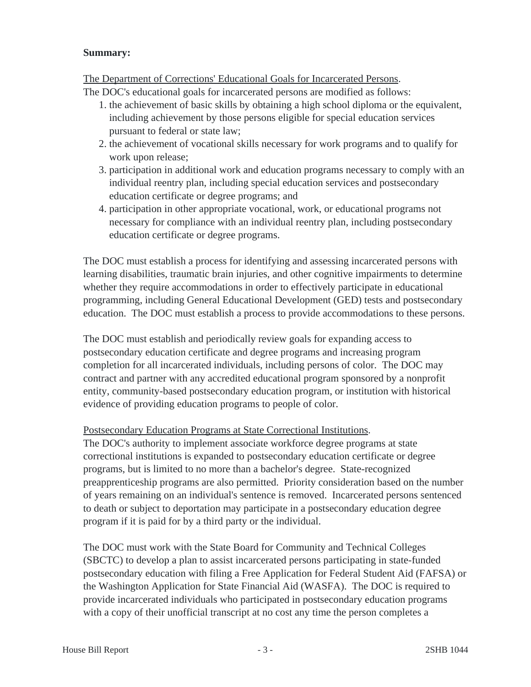#### **Summary:**

#### The Department of Corrections' Educational Goals for Incarcerated Persons.

The DOC's educational goals for incarcerated persons are modified as follows:

- 1. the achievement of basic skills by obtaining a high school diploma or the equivalent, including achievement by those persons eligible for special education services pursuant to federal or state law;
- 2. the achievement of vocational skills necessary for work programs and to qualify for work upon release;
- 3. participation in additional work and education programs necessary to comply with an individual reentry plan, including special education services and postsecondary education certificate or degree programs; and
- 4. participation in other appropriate vocational, work, or educational programs not necessary for compliance with an individual reentry plan, including postsecondary education certificate or degree programs.

The DOC must establish a process for identifying and assessing incarcerated persons with learning disabilities, traumatic brain injuries, and other cognitive impairments to determine whether they require accommodations in order to effectively participate in educational programming, including General Educational Development (GED) tests and postsecondary education. The DOC must establish a process to provide accommodations to these persons.

The DOC must establish and periodically review goals for expanding access to postsecondary education certificate and degree programs and increasing program completion for all incarcerated individuals, including persons of color. The DOC may contract and partner with any accredited educational program sponsored by a nonprofit entity, community-based postsecondary education program, or institution with historical evidence of providing education programs to people of color.

### Postsecondary Education Programs at State Correctional Institutions.

The DOC's authority to implement associate workforce degree programs at state correctional institutions is expanded to postsecondary education certificate or degree programs, but is limited to no more than a bachelor's degree. State-recognized preapprenticeship programs are also permitted. Priority consideration based on the number of years remaining on an individual's sentence is removed. Incarcerated persons sentenced to death or subject to deportation may participate in a postsecondary education degree program if it is paid for by a third party or the individual.

The DOC must work with the State Board for Community and Technical Colleges (SBCTC) to develop a plan to assist incarcerated persons participating in state-funded postsecondary education with filing a Free Application for Federal Student Aid (FAFSA) or the Washington Application for State Financial Aid (WASFA). The DOC is required to provide incarcerated individuals who participated in postsecondary education programs with a copy of their unofficial transcript at no cost any time the person completes a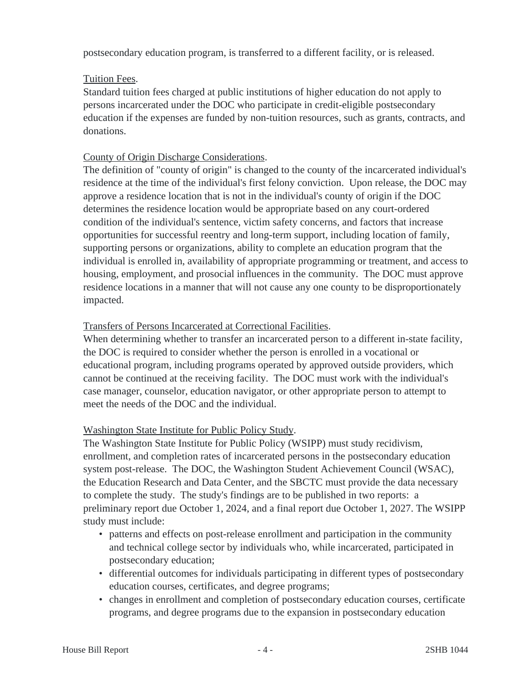postsecondary education program, is transferred to a different facility, or is released.

# Tuition Fees.

Standard tuition fees charged at public institutions of higher education do not apply to persons incarcerated under the DOC who participate in credit-eligible postsecondary education if the expenses are funded by non-tuition resources, such as grants, contracts, and donations.

# County of Origin Discharge Considerations.

The definition of "county of origin" is changed to the county of the incarcerated individual's residence at the time of the individual's first felony conviction. Upon release, the DOC may approve a residence location that is not in the individual's county of origin if the DOC determines the residence location would be appropriate based on any court-ordered condition of the individual's sentence, victim safety concerns, and factors that increase opportunities for successful reentry and long-term support, including location of family, supporting persons or organizations, ability to complete an education program that the individual is enrolled in, availability of appropriate programming or treatment, and access to housing, employment, and prosocial influences in the community. The DOC must approve residence locations in a manner that will not cause any one county to be disproportionately impacted.

# Transfers of Persons Incarcerated at Correctional Facilities.

When determining whether to transfer an incarcerated person to a different in-state facility, the DOC is required to consider whether the person is enrolled in a vocational or educational program, including programs operated by approved outside providers, which cannot be continued at the receiving facility. The DOC must work with the individual's case manager, counselor, education navigator, or other appropriate person to attempt to meet the needs of the DOC and the individual.

### Washington State Institute for Public Policy Study.

The Washington State Institute for Public Policy (WSIPP) must study recidivism, enrollment, and completion rates of incarcerated persons in the postsecondary education system post-release. The DOC, the Washington Student Achievement Council (WSAC), the Education Research and Data Center, and the SBCTC must provide the data necessary to complete the study. The study's findings are to be published in two reports: a preliminary report due October 1, 2024, and a final report due October 1, 2027. The WSIPP study must include:

- patterns and effects on post-release enrollment and participation in the community and technical college sector by individuals who, while incarcerated, participated in postsecondary education;
- differential outcomes for individuals participating in different types of postsecondary education courses, certificates, and degree programs;
- changes in enrollment and completion of postsecondary education courses, certificate programs, and degree programs due to the expansion in postsecondary education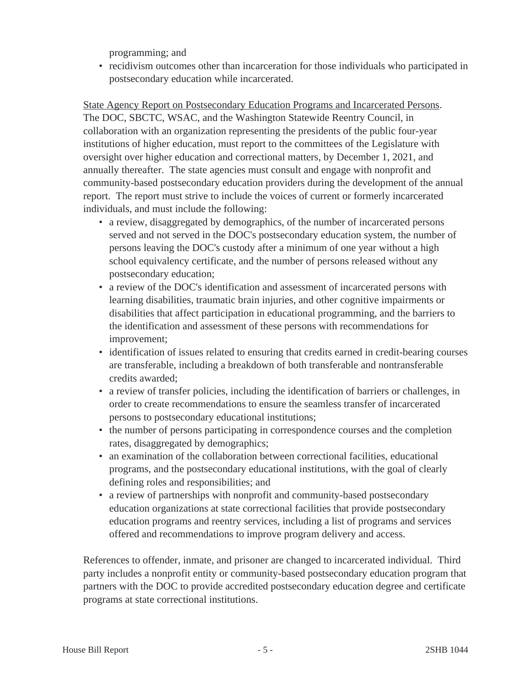programming; and

• recidivism outcomes other than incarceration for those individuals who participated in postsecondary education while incarcerated.

State Agency Report on Postsecondary Education Programs and Incarcerated Persons. The DOC, SBCTC, WSAC, and the Washington Statewide Reentry Council, in collaboration with an organization representing the presidents of the public four-year institutions of higher education, must report to the committees of the Legislature with oversight over higher education and correctional matters, by December 1, 2021, and annually thereafter. The state agencies must consult and engage with nonprofit and community-based postsecondary education providers during the development of the annual report. The report must strive to include the voices of current or formerly incarcerated individuals, and must include the following:

- a review, disaggregated by demographics, of the number of incarcerated persons served and not served in the DOC's postsecondary education system, the number of persons leaving the DOC's custody after a minimum of one year without a high school equivalency certificate, and the number of persons released without any postsecondary education;
- a review of the DOC's identification and assessment of incarcerated persons with learning disabilities, traumatic brain injuries, and other cognitive impairments or disabilities that affect participation in educational programming, and the barriers to the identification and assessment of these persons with recommendations for improvement;
- identification of issues related to ensuring that credits earned in credit-bearing courses are transferable, including a breakdown of both transferable and nontransferable credits awarded;
- a review of transfer policies, including the identification of barriers or challenges, in order to create recommendations to ensure the seamless transfer of incarcerated persons to postsecondary educational institutions;
- the number of persons participating in correspondence courses and the completion rates, disaggregated by demographics;
- an examination of the collaboration between correctional facilities, educational programs, and the postsecondary educational institutions, with the goal of clearly defining roles and responsibilities; and
- a review of partnerships with nonprofit and community-based postsecondary education organizations at state correctional facilities that provide postsecondary education programs and reentry services, including a list of programs and services offered and recommendations to improve program delivery and access.

References to offender, inmate, and prisoner are changed to incarcerated individual. Third party includes a nonprofit entity or community-based postsecondary education program that partners with the DOC to provide accredited postsecondary education degree and certificate programs at state correctional institutions.